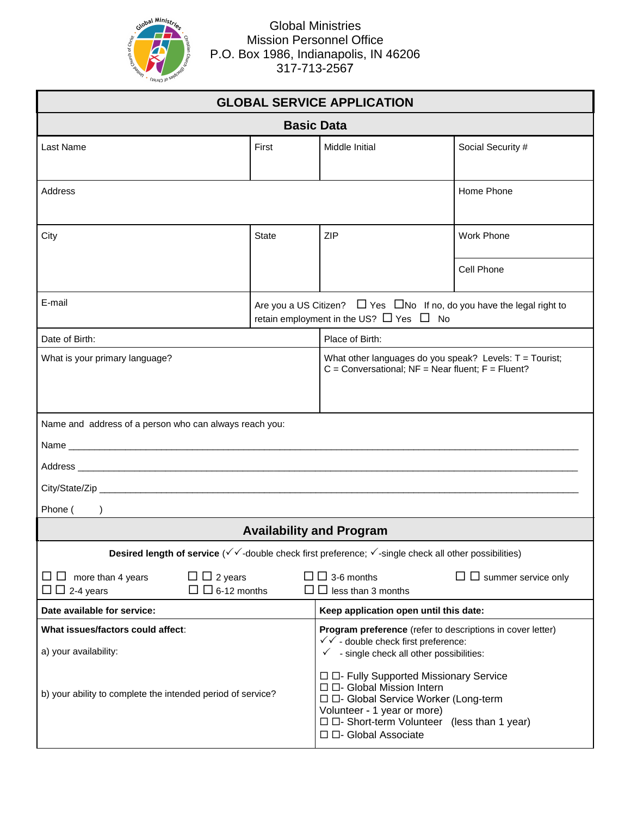

Global Ministries Mission Personnel Office P.O. Box 1986, Indianapolis, IN 46206 317-713-2567

| <b>GLOBAL SERVICE APPLICATION</b>                                                                                                               |       |                                                                                                                                                                                                                                   |                            |  |
|-------------------------------------------------------------------------------------------------------------------------------------------------|-------|-----------------------------------------------------------------------------------------------------------------------------------------------------------------------------------------------------------------------------------|----------------------------|--|
| <b>Basic Data</b>                                                                                                                               |       |                                                                                                                                                                                                                                   |                            |  |
| Last Name                                                                                                                                       | First | Middle Initial                                                                                                                                                                                                                    | Social Security #          |  |
| Address                                                                                                                                         |       |                                                                                                                                                                                                                                   | Home Phone                 |  |
| City                                                                                                                                            | State | ZIP                                                                                                                                                                                                                               | <b>Work Phone</b>          |  |
|                                                                                                                                                 |       |                                                                                                                                                                                                                                   | Cell Phone                 |  |
| E-mail<br>Are you a US Citizen? $\Box$ Yes $\Box$ No If no, do you have the legal right to<br>retain employment in the US? $\Box$ Yes $\Box$ No |       |                                                                                                                                                                                                                                   |                            |  |
| Date of Birth:                                                                                                                                  |       | Place of Birth:                                                                                                                                                                                                                   |                            |  |
| What is your primary language?                                                                                                                  |       | What other languages do you speak? Levels: T = Tourist;<br>$C =$ Conversational; NF = Near fluent; F = Fluent?                                                                                                                    |                            |  |
| Name and address of a person who can always reach you:                                                                                          |       |                                                                                                                                                                                                                                   |                            |  |
|                                                                                                                                                 |       |                                                                                                                                                                                                                                   |                            |  |
|                                                                                                                                                 |       |                                                                                                                                                                                                                                   |                            |  |
|                                                                                                                                                 |       |                                                                                                                                                                                                                                   |                            |  |
| Phone (                                                                                                                                         |       |                                                                                                                                                                                                                                   |                            |  |
|                                                                                                                                                 |       | <b>Availability and Program</b>                                                                                                                                                                                                   |                            |  |
| Desired length of service ( $\checkmark\checkmark$ -double check first preference; $\checkmark$ -single check all other possibilities)          |       |                                                                                                                                                                                                                                   |                            |  |
| $\Box$ $\Box$ 2 years<br>$\Box$ more than 4 years<br>$\Box$ $\Box$ 6-12 months<br>$\Box$ $\Box$ 2-4 years                                       |       | $\Box$ $\Box$ 3-6 months<br>$\Box$ less than 3 months                                                                                                                                                                             | $\Box$ summer service only |  |
| Date available for service:                                                                                                                     |       | Keep application open until this date:                                                                                                                                                                                            |                            |  |
| What issues/factors could affect:<br>a) your availability:                                                                                      |       | Program preference (refer to descriptions in cover letter)<br>√ √ - double check first preference:<br>- single check all other possibilities:<br>$\checkmark$                                                                     |                            |  |
| b) your ability to complete the intended period of service?                                                                                     |       | □ □- Fully Supported Missionary Service<br>□ □- Global Mission Intern<br>□ □- Global Service Worker (Long-term<br>Volunteer - 1 year or more)<br>$\Box$ $\Box$ - Short-term Volunteer (less than 1 year)<br>□ □- Global Associate |                            |  |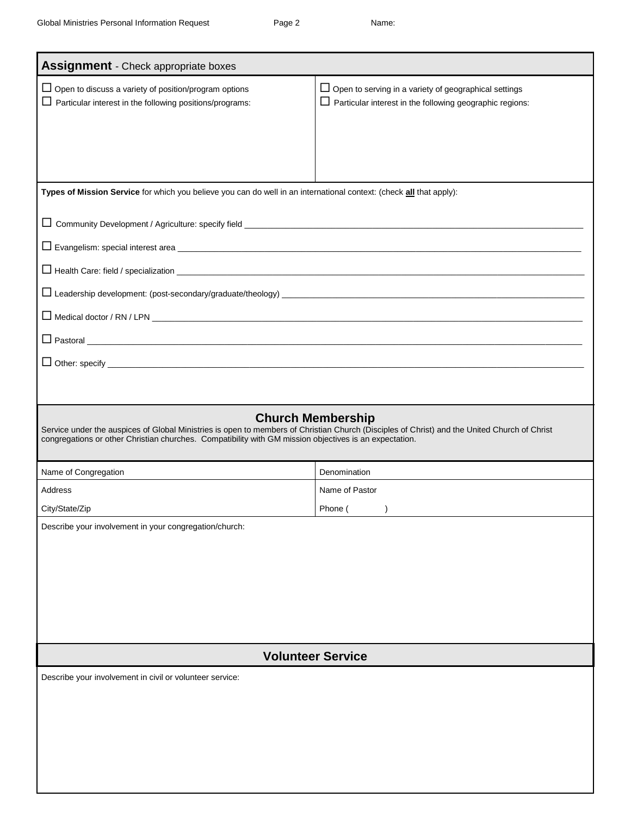| <b>Assignment</b> - Check appropriate boxes                                                                                                                                                                                                                                        |                                                                                                                                 |  |  |
|------------------------------------------------------------------------------------------------------------------------------------------------------------------------------------------------------------------------------------------------------------------------------------|---------------------------------------------------------------------------------------------------------------------------------|--|--|
| $\Box$ Open to discuss a variety of position/program options<br>$\Box$ Particular interest in the following positions/programs:                                                                                                                                                    | $\Box$ Open to serving in a variety of geographical settings<br>$\Box$ Particular interest in the following geographic regions: |  |  |
|                                                                                                                                                                                                                                                                                    |                                                                                                                                 |  |  |
|                                                                                                                                                                                                                                                                                    |                                                                                                                                 |  |  |
| Types of Mission Service for which you believe you can do well in an international context: (check all that apply):                                                                                                                                                                |                                                                                                                                 |  |  |
|                                                                                                                                                                                                                                                                                    |                                                                                                                                 |  |  |
|                                                                                                                                                                                                                                                                                    |                                                                                                                                 |  |  |
|                                                                                                                                                                                                                                                                                    |                                                                                                                                 |  |  |
|                                                                                                                                                                                                                                                                                    |                                                                                                                                 |  |  |
|                                                                                                                                                                                                                                                                                    |                                                                                                                                 |  |  |
|                                                                                                                                                                                                                                                                                    |                                                                                                                                 |  |  |
| $\Box$ Pastoral $\Box$                                                                                                                                                                                                                                                             |                                                                                                                                 |  |  |
|                                                                                                                                                                                                                                                                                    |                                                                                                                                 |  |  |
|                                                                                                                                                                                                                                                                                    |                                                                                                                                 |  |  |
| <b>Church Membership</b><br>Service under the auspices of Global Ministries is open to members of Christian Church (Disciples of Christ) and the United Church of Christ<br>congregations or other Christian churches. Compatibility with GM mission objectives is an expectation. |                                                                                                                                 |  |  |
| Name of Congregation                                                                                                                                                                                                                                                               | Denomination                                                                                                                    |  |  |
| Address                                                                                                                                                                                                                                                                            | Name of Pastor                                                                                                                  |  |  |
| City/State/Zip                                                                                                                                                                                                                                                                     | Phone ()                                                                                                                        |  |  |
| Describe your involvement in your congregation/church:                                                                                                                                                                                                                             |                                                                                                                                 |  |  |
|                                                                                                                                                                                                                                                                                    |                                                                                                                                 |  |  |
|                                                                                                                                                                                                                                                                                    |                                                                                                                                 |  |  |
|                                                                                                                                                                                                                                                                                    |                                                                                                                                 |  |  |
|                                                                                                                                                                                                                                                                                    |                                                                                                                                 |  |  |
|                                                                                                                                                                                                                                                                                    |                                                                                                                                 |  |  |
| <b>Volunteer Service</b>                                                                                                                                                                                                                                                           |                                                                                                                                 |  |  |
| Describe your involvement in civil or volunteer service:                                                                                                                                                                                                                           |                                                                                                                                 |  |  |
|                                                                                                                                                                                                                                                                                    |                                                                                                                                 |  |  |
|                                                                                                                                                                                                                                                                                    |                                                                                                                                 |  |  |
|                                                                                                                                                                                                                                                                                    |                                                                                                                                 |  |  |
|                                                                                                                                                                                                                                                                                    |                                                                                                                                 |  |  |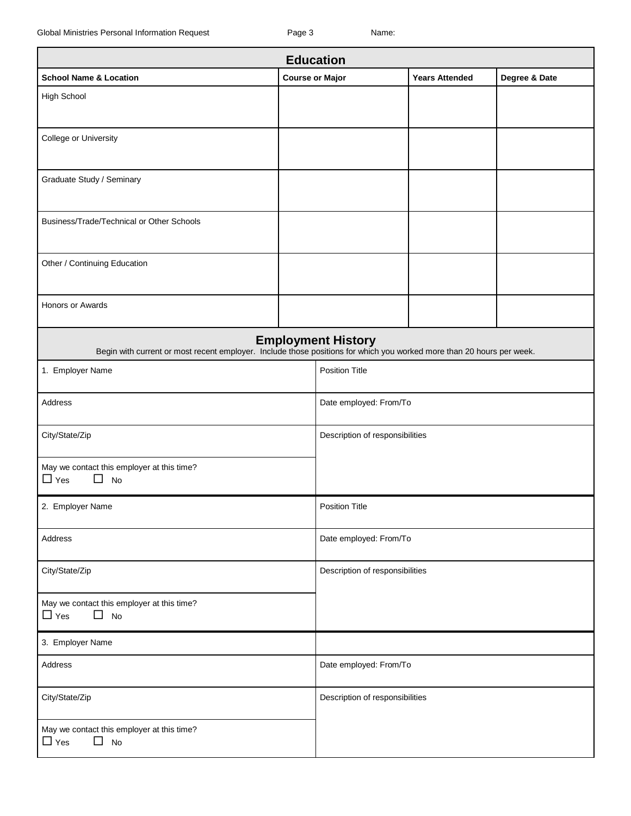| <b>Education</b>                                                                                                      |                        |                                 |                       |               |
|-----------------------------------------------------------------------------------------------------------------------|------------------------|---------------------------------|-----------------------|---------------|
| <b>School Name &amp; Location</b>                                                                                     | <b>Course or Major</b> |                                 | <b>Years Attended</b> | Degree & Date |
| High School                                                                                                           |                        |                                 |                       |               |
| College or University                                                                                                 |                        |                                 |                       |               |
| Graduate Study / Seminary                                                                                             |                        |                                 |                       |               |
| Business/Trade/Technical or Other Schools                                                                             |                        |                                 |                       |               |
| Other / Continuing Education                                                                                          |                        |                                 |                       |               |
| Honors or Awards                                                                                                      |                        |                                 |                       |               |
| Begin with current or most recent employer. Include those positions for which you worked more than 20 hours per week. |                        | <b>Employment History</b>       |                       |               |
| 1. Employer Name                                                                                                      |                        | <b>Position Title</b>           |                       |               |
| Address                                                                                                               |                        | Date employed: From/To          |                       |               |
| City/State/Zip                                                                                                        |                        | Description of responsibilities |                       |               |
| May we contact this employer at this time?<br>$\Box$ Yes<br>No                                                        |                        |                                 |                       |               |
| 2. Employer Name                                                                                                      |                        | <b>Position Title</b>           |                       |               |
| Address                                                                                                               |                        | Date employed: From/To          |                       |               |
| City/State/Zip                                                                                                        |                        | Description of responsibilities |                       |               |
| May we contact this employer at this time?<br>$\Box$ Yes<br>П<br>No                                                   |                        |                                 |                       |               |
| 3. Employer Name                                                                                                      |                        |                                 |                       |               |
| Address                                                                                                               |                        | Date employed: From/To          |                       |               |
| City/State/Zip                                                                                                        |                        | Description of responsibilities |                       |               |
| May we contact this employer at this time?<br>$\Box$ Yes<br>$\Box$<br>No                                              |                        |                                 |                       |               |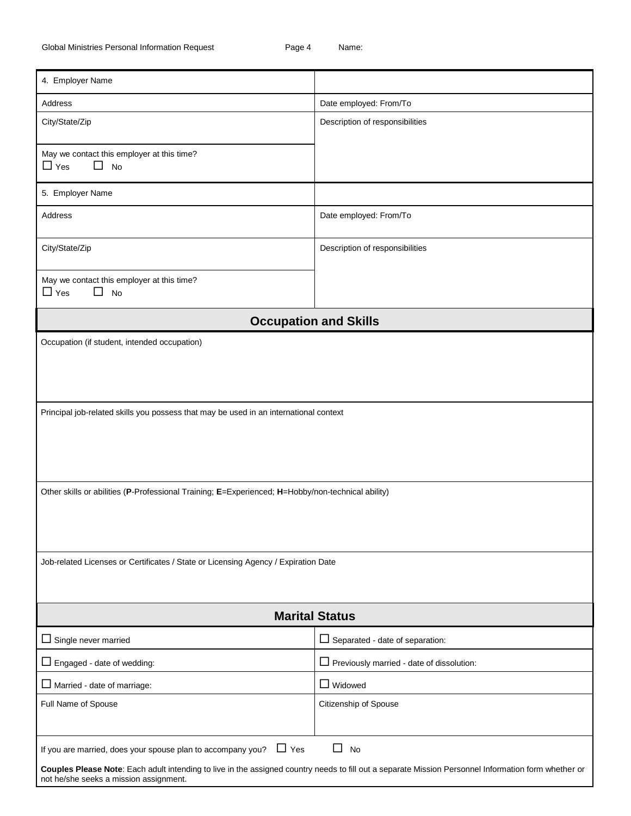| 4. Employer Name                                                                                                                                                                               |                                                                                                   |  |  |
|------------------------------------------------------------------------------------------------------------------------------------------------------------------------------------------------|---------------------------------------------------------------------------------------------------|--|--|
| Address                                                                                                                                                                                        | Date employed: From/To                                                                            |  |  |
| City/State/Zip                                                                                                                                                                                 | Description of responsibilities                                                                   |  |  |
| May we contact this employer at this time?                                                                                                                                                     |                                                                                                   |  |  |
| $\Box$ Yes<br>$\Box$ No                                                                                                                                                                        |                                                                                                   |  |  |
| 5. Employer Name                                                                                                                                                                               |                                                                                                   |  |  |
| Address                                                                                                                                                                                        | Date employed: From/To                                                                            |  |  |
| City/State/Zip                                                                                                                                                                                 | Description of responsibilities                                                                   |  |  |
| May we contact this employer at this time?<br>$\Box$ Yes<br>□<br>No                                                                                                                            |                                                                                                   |  |  |
|                                                                                                                                                                                                | <b>Occupation and Skills</b>                                                                      |  |  |
| Occupation (if student, intended occupation)                                                                                                                                                   |                                                                                                   |  |  |
|                                                                                                                                                                                                |                                                                                                   |  |  |
|                                                                                                                                                                                                |                                                                                                   |  |  |
| Principal job-related skills you possess that may be used in an international context                                                                                                          |                                                                                                   |  |  |
|                                                                                                                                                                                                |                                                                                                   |  |  |
|                                                                                                                                                                                                |                                                                                                   |  |  |
|                                                                                                                                                                                                |                                                                                                   |  |  |
|                                                                                                                                                                                                | Other skills or abilities (P-Professional Training; E=Experienced; H=Hobby/non-technical ability) |  |  |
|                                                                                                                                                                                                |                                                                                                   |  |  |
|                                                                                                                                                                                                |                                                                                                   |  |  |
| Job-related Licenses or Certificates / State or Licensing Agency / Expiration Date                                                                                                             |                                                                                                   |  |  |
|                                                                                                                                                                                                |                                                                                                   |  |  |
|                                                                                                                                                                                                | <b>Marital Status</b>                                                                             |  |  |
| $\Box$ Single never married                                                                                                                                                                    | $\Box$ Separated - date of separation:                                                            |  |  |
| $\Box$ Engaged - date of wedding:                                                                                                                                                              | $\Box$ Previously married - date of dissolution:                                                  |  |  |
| $\Box$ Married - date of marriage:                                                                                                                                                             | $\Box$ Widowed                                                                                    |  |  |
| Full Name of Spouse                                                                                                                                                                            | Citizenship of Spouse                                                                             |  |  |
|                                                                                                                                                                                                |                                                                                                   |  |  |
| If you are married, does your spouse plan to accompany you? $\Box$ Yes                                                                                                                         | $\perp$<br>No                                                                                     |  |  |
| Couples Please Note: Each adult intending to live in the assigned country needs to fill out a separate Mission Personnel Information form whether or<br>not he/she seeks a mission assignment. |                                                                                                   |  |  |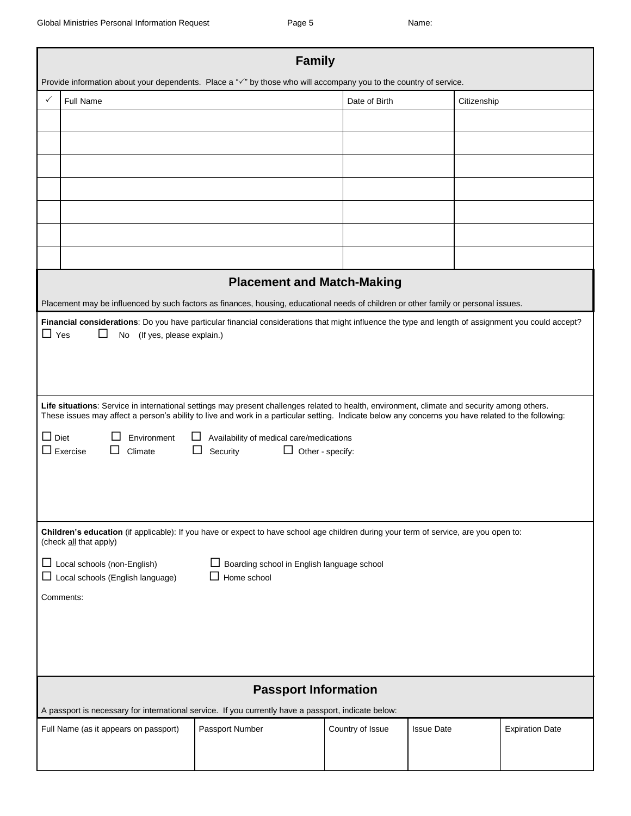| <b>Family</b><br>Provide information about your dependents. Place a " $\checkmark$ " by those who will accompany you to the country of service. |                                                                                                                                                                                                                                                                                                     |                                            |                  |                   |                        |
|-------------------------------------------------------------------------------------------------------------------------------------------------|-----------------------------------------------------------------------------------------------------------------------------------------------------------------------------------------------------------------------------------------------------------------------------------------------------|--------------------------------------------|------------------|-------------------|------------------------|
|                                                                                                                                                 |                                                                                                                                                                                                                                                                                                     |                                            |                  |                   |                        |
| $\checkmark$                                                                                                                                    | Full Name                                                                                                                                                                                                                                                                                           |                                            | Date of Birth    | Citizenship       |                        |
|                                                                                                                                                 |                                                                                                                                                                                                                                                                                                     |                                            |                  |                   |                        |
|                                                                                                                                                 |                                                                                                                                                                                                                                                                                                     |                                            |                  |                   |                        |
|                                                                                                                                                 |                                                                                                                                                                                                                                                                                                     |                                            |                  |                   |                        |
|                                                                                                                                                 |                                                                                                                                                                                                                                                                                                     |                                            |                  |                   |                        |
|                                                                                                                                                 |                                                                                                                                                                                                                                                                                                     |                                            |                  |                   |                        |
|                                                                                                                                                 |                                                                                                                                                                                                                                                                                                     |                                            |                  |                   |                        |
|                                                                                                                                                 |                                                                                                                                                                                                                                                                                                     |                                            |                  |                   |                        |
|                                                                                                                                                 |                                                                                                                                                                                                                                                                                                     |                                            |                  |                   |                        |
|                                                                                                                                                 |                                                                                                                                                                                                                                                                                                     |                                            |                  |                   |                        |
|                                                                                                                                                 |                                                                                                                                                                                                                                                                                                     | <b>Placement and Match-Making</b>          |                  |                   |                        |
|                                                                                                                                                 | Placement may be influenced by such factors as finances, housing, educational needs of children or other family or personal issues.                                                                                                                                                                 |                                            |                  |                   |                        |
|                                                                                                                                                 | Financial considerations: Do you have particular financial considerations that might influence the type and length of assignment you could accept?                                                                                                                                                  |                                            |                  |                   |                        |
| $\Box$ Yes                                                                                                                                      | (If yes, please explain.)<br>No                                                                                                                                                                                                                                                                     |                                            |                  |                   |                        |
|                                                                                                                                                 |                                                                                                                                                                                                                                                                                                     |                                            |                  |                   |                        |
|                                                                                                                                                 |                                                                                                                                                                                                                                                                                                     |                                            |                  |                   |                        |
|                                                                                                                                                 |                                                                                                                                                                                                                                                                                                     |                                            |                  |                   |                        |
|                                                                                                                                                 |                                                                                                                                                                                                                                                                                                     |                                            |                  |                   |                        |
|                                                                                                                                                 | Life situations: Service in international settings may present challenges related to health, environment, climate and security among others.<br>These issues may affect a person's ability to live and work in a particular setting. Indicate below any concerns you have related to the following: |                                            |                  |                   |                        |
|                                                                                                                                                 |                                                                                                                                                                                                                                                                                                     |                                            |                  |                   |                        |
| $\Box$ Diet<br>Environment<br>Availability of medical care/medications                                                                          |                                                                                                                                                                                                                                                                                                     |                                            |                  |                   |                        |
| $\Box$ Exercise<br>$\Box$ Other - specify:<br>□<br>Climate<br>Security                                                                          |                                                                                                                                                                                                                                                                                                     |                                            |                  |                   |                        |
|                                                                                                                                                 |                                                                                                                                                                                                                                                                                                     |                                            |                  |                   |                        |
|                                                                                                                                                 |                                                                                                                                                                                                                                                                                                     |                                            |                  |                   |                        |
|                                                                                                                                                 |                                                                                                                                                                                                                                                                                                     |                                            |                  |                   |                        |
|                                                                                                                                                 | Children's education (if applicable): If you have or expect to have school age children during your term of service, are you open to:                                                                                                                                                               |                                            |                  |                   |                        |
|                                                                                                                                                 | (check all that apply)                                                                                                                                                                                                                                                                              |                                            |                  |                   |                        |
|                                                                                                                                                 | $\Box$ Local schools (non-English)                                                                                                                                                                                                                                                                  | Boarding school in English language school |                  |                   |                        |
|                                                                                                                                                 | $\Box$ Local schools (English language)                                                                                                                                                                                                                                                             | Home school                                |                  |                   |                        |
|                                                                                                                                                 |                                                                                                                                                                                                                                                                                                     |                                            |                  |                   |                        |
|                                                                                                                                                 |                                                                                                                                                                                                                                                                                                     |                                            |                  |                   |                        |
|                                                                                                                                                 | Comments:                                                                                                                                                                                                                                                                                           |                                            |                  |                   |                        |
|                                                                                                                                                 |                                                                                                                                                                                                                                                                                                     |                                            |                  |                   |                        |
|                                                                                                                                                 |                                                                                                                                                                                                                                                                                                     |                                            |                  |                   |                        |
|                                                                                                                                                 |                                                                                                                                                                                                                                                                                                     |                                            |                  |                   |                        |
|                                                                                                                                                 |                                                                                                                                                                                                                                                                                                     |                                            |                  |                   |                        |
|                                                                                                                                                 |                                                                                                                                                                                                                                                                                                     | <b>Passport Information</b>                |                  |                   |                        |
|                                                                                                                                                 |                                                                                                                                                                                                                                                                                                     |                                            |                  |                   |                        |
|                                                                                                                                                 | A passport is necessary for international service. If you currently have a passport, indicate below:                                                                                                                                                                                                |                                            |                  |                   |                        |
|                                                                                                                                                 | Full Name (as it appears on passport)                                                                                                                                                                                                                                                               | Passport Number                            | Country of Issue | <b>Issue Date</b> | <b>Expiration Date</b> |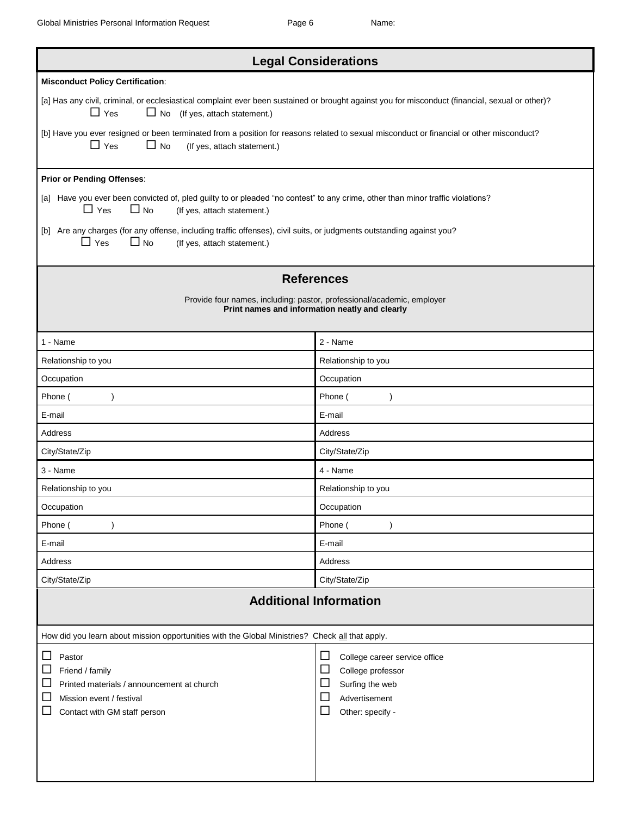| <b>Legal Considerations</b>                                                                                                                                                                             |                                                                                                                                          |  |  |
|---------------------------------------------------------------------------------------------------------------------------------------------------------------------------------------------------------|------------------------------------------------------------------------------------------------------------------------------------------|--|--|
| <b>Misconduct Policy Certification:</b>                                                                                                                                                                 |                                                                                                                                          |  |  |
| [a] Has any civil, criminal, or ecclesiastical complaint ever been sustained or brought against you for misconduct (financial, sexual or other)?<br>$\Box$ Yes<br>$\Box$ No (If yes, attach statement.) |                                                                                                                                          |  |  |
| [b] Have you ever resigned or been terminated from a position for reasons related to sexual misconduct or financial or other misconduct?<br>$\Box$ Yes<br>$\Box$ No<br>(If yes, attach statement.)      |                                                                                                                                          |  |  |
| <b>Prior or Pending Offenses:</b>                                                                                                                                                                       |                                                                                                                                          |  |  |
| [a] Have you ever been convicted of, pled guilty to or pleaded "no contest" to any crime, other than minor traffic violations?<br>$\Box$ No<br>$\sqcup$ Yes<br>(If yes, attach statement.)              |                                                                                                                                          |  |  |
| [b] Are any charges (for any offense, including traffic offenses), civil suits, or judgments outstanding against you?<br>$\Box$ Yes<br>$\square$ No<br>(If yes, attach statement.)                      |                                                                                                                                          |  |  |
|                                                                                                                                                                                                         | <b>References</b>                                                                                                                        |  |  |
|                                                                                                                                                                                                         | Provide four names, including: pastor, professional/academic, employer                                                                   |  |  |
|                                                                                                                                                                                                         | Print names and information neatly and clearly                                                                                           |  |  |
| 1 - Name                                                                                                                                                                                                | 2 - Name                                                                                                                                 |  |  |
| Relationship to you                                                                                                                                                                                     | Relationship to you                                                                                                                      |  |  |
| Occupation                                                                                                                                                                                              | Occupation                                                                                                                               |  |  |
| Phone (                                                                                                                                                                                                 | Phone (                                                                                                                                  |  |  |
| E-mail                                                                                                                                                                                                  | E-mail                                                                                                                                   |  |  |
| Address                                                                                                                                                                                                 | Address                                                                                                                                  |  |  |
| City/State/Zip                                                                                                                                                                                          | City/State/Zip                                                                                                                           |  |  |
| 3 - Name                                                                                                                                                                                                | 4 - Name                                                                                                                                 |  |  |
| Relationship to you                                                                                                                                                                                     | Relationship to you                                                                                                                      |  |  |
| Occupation                                                                                                                                                                                              | Occupation                                                                                                                               |  |  |
| Phone (                                                                                                                                                                                                 | Phone (                                                                                                                                  |  |  |
| E-mail                                                                                                                                                                                                  | E-mail                                                                                                                                   |  |  |
| Address                                                                                                                                                                                                 | <b>Address</b>                                                                                                                           |  |  |
| City/State/Zip                                                                                                                                                                                          | City/State/Zip                                                                                                                           |  |  |
| <b>Additional Information</b>                                                                                                                                                                           |                                                                                                                                          |  |  |
| How did you learn about mission opportunities with the Global Ministries? Check all that apply.                                                                                                         |                                                                                                                                          |  |  |
| ப<br>Pastor<br>ப<br>Friend / family<br>ப<br>Printed materials / announcement at church<br>$\Box$<br>Mission event / festival<br>Contact with GM staff person                                            | □<br>College career service office<br>$\Box$<br>College professor<br>Surfing the web<br>ப<br>⊔<br>Advertisement<br>ப<br>Other: specify - |  |  |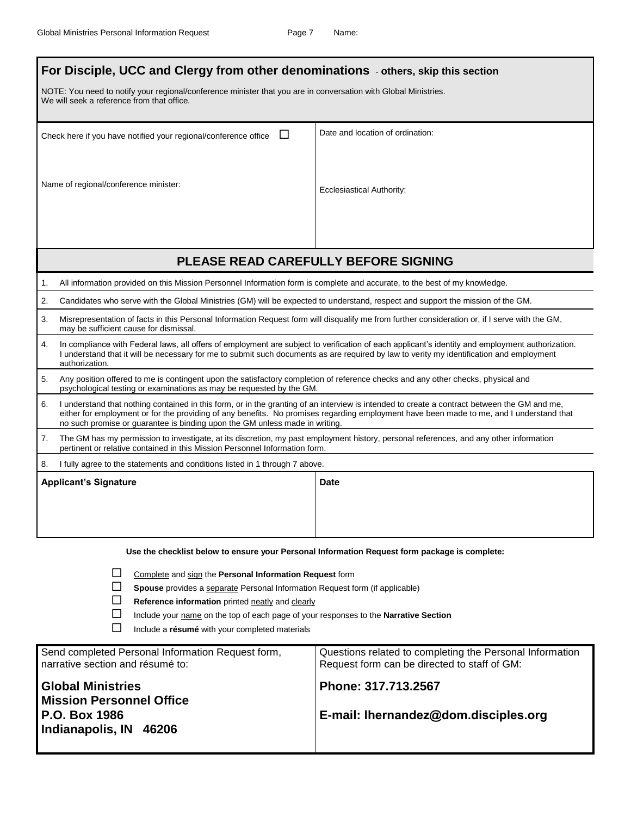| For Disciple, UCC and Clergy from other denominations - others, skip this section                                                                                                                                                                                                                                                                                             |                                                                                               |  |  |
|-------------------------------------------------------------------------------------------------------------------------------------------------------------------------------------------------------------------------------------------------------------------------------------------------------------------------------------------------------------------------------|-----------------------------------------------------------------------------------------------|--|--|
| NOTE: You need to notify your regional/conference minister that you are in conversation with Global Ministries.<br>We will seek a reference from that office.                                                                                                                                                                                                                 |                                                                                               |  |  |
| $\Box$<br>Check here if you have notified your regional/conference office                                                                                                                                                                                                                                                                                                     | Date and location of ordination:                                                              |  |  |
| Name of regional/conference minister:                                                                                                                                                                                                                                                                                                                                         | Ecclesiastical Authority:                                                                     |  |  |
|                                                                                                                                                                                                                                                                                                                                                                               | PLEASE READ CAREFULLY BEFORE SIGNING                                                          |  |  |
| All information provided on this Mission Personnel Information form is complete and accurate, to the best of my knowledge.<br>1.                                                                                                                                                                                                                                              |                                                                                               |  |  |
| 2.<br>Candidates who serve with the Global Ministries (GM) will be expected to understand, respect and support the mission of the GM.                                                                                                                                                                                                                                         |                                                                                               |  |  |
| 3.<br>Misrepresentation of facts in this Personal Information Request form will disqualify me from further consideration or, if I serve with the GM,<br>may be sufficient cause for dismissal.                                                                                                                                                                                |                                                                                               |  |  |
| In compliance with Federal laws, all offers of employment are subject to verification of each applicant's identity and employment authorization.<br>4.<br>I understand that it will be necessary for me to submit such documents as are required by law to verity my identification and employment<br>authorization.                                                          |                                                                                               |  |  |
| 5.<br>Any position offered to me is contingent upon the satisfactory completion of reference checks and any other checks, physical and<br>psychological testing or examinations as may be requested by the GM.                                                                                                                                                                |                                                                                               |  |  |
| I understand that nothing contained in this form, or in the granting of an interview is intended to create a contract between the GM and me,<br>6.<br>either for employment or for the providing of any benefits. No promises regarding employment have been made to me, and I understand that<br>no such promise or guarantee is binding upon the GM unless made in writing. |                                                                                               |  |  |
| The GM has my permission to investigate, at its discretion, my past employment history, personal references, and any other information<br>7.<br>pertinent or relative contained in this Mission Personnel Information form.                                                                                                                                                   |                                                                                               |  |  |
| 8.<br>I fully agree to the statements and conditions listed in 1 through 7 above.                                                                                                                                                                                                                                                                                             |                                                                                               |  |  |
| <b>Applicant's Signature</b>                                                                                                                                                                                                                                                                                                                                                  | Date                                                                                          |  |  |
|                                                                                                                                                                                                                                                                                                                                                                               |                                                                                               |  |  |
|                                                                                                                                                                                                                                                                                                                                                                               | Use the checklist below to ensure your Personal Information Request form package is complete: |  |  |
| Complete and sign the Personal Information Request form<br>Spouse provides a separate Personal Information Request form (if applicable)<br>Reference information printed neatly and clearly                                                                                                                                                                                   |                                                                                               |  |  |

| <u>ы</u> | Reference information printed neatly and clearly                                            |
|----------|---------------------------------------------------------------------------------------------|
| $\Box$   | Include your name on the top of each page of your responses to the <b>Narrative Section</b> |

Include a **résumé** with your completed materials

| Send completed Personal Information Request form,                                                             | Questions related to completing the Personal Information    |
|---------------------------------------------------------------------------------------------------------------|-------------------------------------------------------------|
| narrative section and résumé to:                                                                              | Request form can be directed to staff of GM:                |
| <b>Global Ministries</b><br><b>Mission Personnel Office</b><br><b>P.O. Box 1986</b><br>Indianapolis, IN 46206 | Phone: 317.713.2567<br>E-mail: Ihernandez@dom.disciples.org |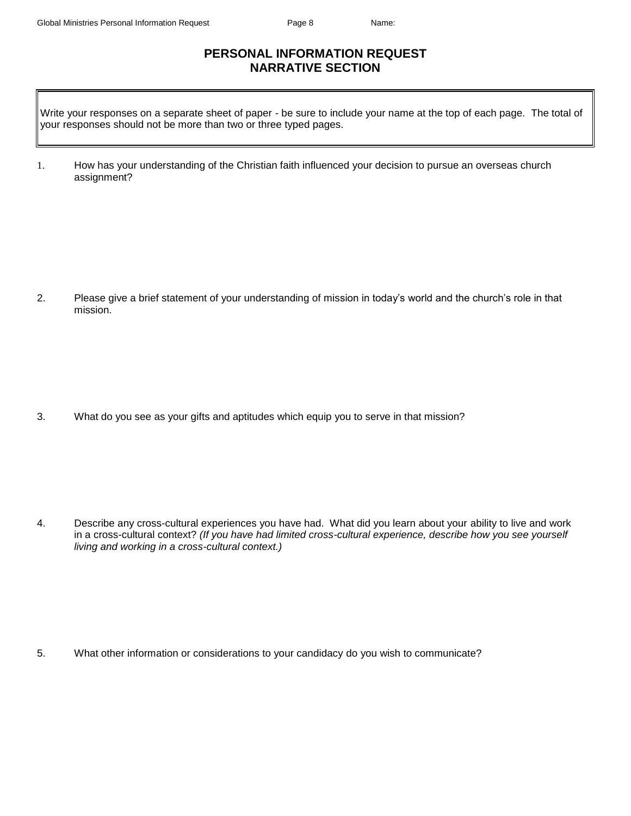## **PERSONAL INFORMATION REQUEST NARRATIVE SECTION**

Write your responses on a separate sheet of paper - be sure to include your name at the top of each page. The total of your responses should not be more than two or three typed pages.

1. How has your understanding of the Christian faith influenced your decision to pursue an overseas church assignment?

2. Please give a brief statement of your understanding of mission in today's world and the church's role in that mission.

3. What do you see as your gifts and aptitudes which equip you to serve in that mission?

4. Describe any cross-cultural experiences you have had. What did you learn about your ability to live and work in a cross-cultural context? *(If you have had limited cross-cultural experience, describe how you see yourself living and working in a cross-cultural context.)*

5. What other information or considerations to your candidacy do you wish to communicate?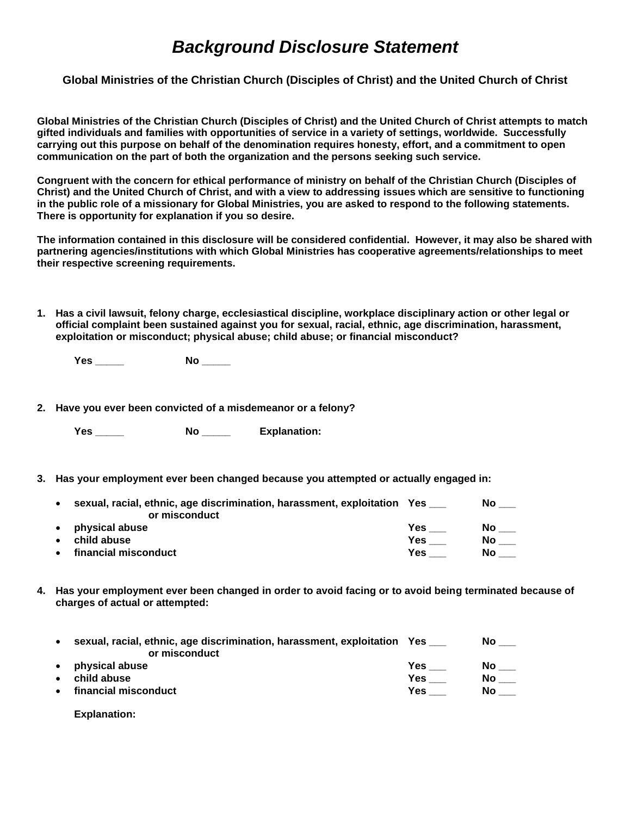## *Background Disclosure Statement*

**Global Ministries of the Christian Church (Disciples of Christ) and the United Church of Christ**

**Global Ministries of the Christian Church (Disciples of Christ) and the United Church of Christ attempts to match gifted individuals and families with opportunities of service in a variety of settings, worldwide. Successfully carrying out this purpose on behalf of the denomination requires honesty, effort, and a commitment to open communication on the part of both the organization and the persons seeking such service.** 

**Congruent with the concern for ethical performance of ministry on behalf of the Christian Church (Disciples of Christ) and the United Church of Christ, and with a view to addressing issues which are sensitive to functioning in the public role of a missionary for Global Ministries, you are asked to respond to the following statements. There is opportunity for explanation if you so desire.** 

**The information contained in this disclosure will be considered confidential. However, it may also be shared with partnering agencies/institutions with which Global Ministries has cooperative agreements/relationships to meet their respective screening requirements.** 

**1. Has a civil lawsuit, felony charge, ecclesiastical discipline, workplace disciplinary action or other legal or official complaint been sustained against you for sexual, racial, ethnic, age discrimination, harassment, exploitation or misconduct; physical abuse; child abuse; or financial misconduct?**

**Yes \_\_\_\_\_ No \_\_\_\_\_** 

**2. Have you ever been convicted of a misdemeanor or a felony?**

**Yes \_\_\_\_\_ No \_\_\_\_\_ Explanation:** 

**3. Has your employment ever been changed because you attempted or actually engaged in:**

| $\bullet$ | sexual, racial, ethnic, age discrimination, harassment, exploitation Yes |     | No  |
|-----------|--------------------------------------------------------------------------|-----|-----|
|           | or misconduct                                                            |     |     |
| $\bullet$ | physical abuse                                                           | Yes | No. |
| $\bullet$ | child abuse                                                              | Yes | Νo  |
| $\bullet$ | financial misconduct                                                     | Yes | No  |

**4. Has your employment ever been changed in order to avoid facing or to avoid being terminated because of charges of actual or attempted:**

| $\bullet$ | sexual, racial, ethnic, age discrimination, harassment, exploitation Yes<br>or misconduct |      | No. |
|-----------|-------------------------------------------------------------------------------------------|------|-----|
| $\bullet$ | physical abuse                                                                            | Yes. | No  |
| $\bullet$ | child abuse                                                                               | Yes  | No  |
|           | • financial misconduct                                                                    | Yes. | No. |
|           |                                                                                           |      |     |

**Explanation:**